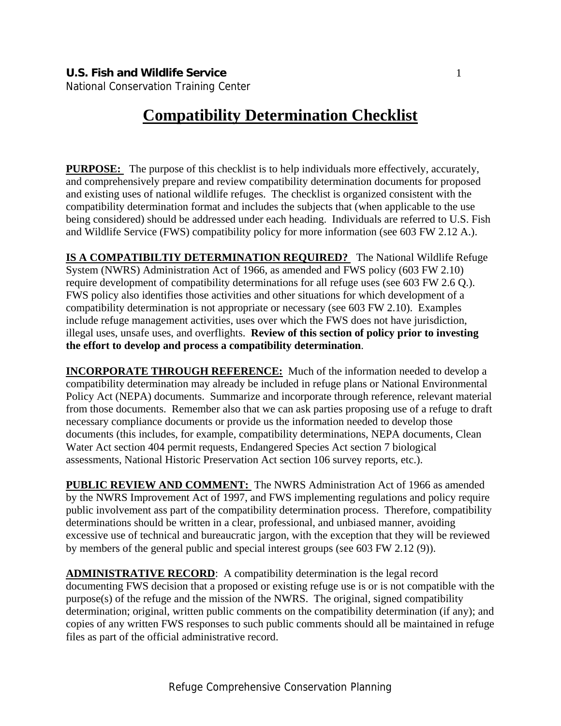National Conservation Training Center

# **Compatibility Determination Checklist**

**PURPOSE:** The purpose of this checklist is to help individuals more effectively, accurately, and comprehensively prepare and review compatibility determination documents for proposed and existing uses of national wildlife refuges. The checklist is organized consistent with the compatibility determination format and includes the subjects that (when applicable to the use being considered) should be addressed under each heading. Individuals are referred to U.S. Fish and Wildlife Service (FWS) compatibility policy for more information (see 603 FW 2.12 A.).

**IS A COMPATIBILTIY DETERMINATION REQUIRED?** The National Wildlife Refuge System (NWRS) Administration Act of 1966, as amended and FWS policy (603 FW 2.10) require development of compatibility determinations for all refuge uses (see 603 FW 2.6 Q.). FWS policy also identifies those activities and other situations for which development of a compatibility determination is not appropriate or necessary (see 603 FW 2.10). Examples include refuge management activities, uses over which the FWS does not have jurisdiction, illegal uses, unsafe uses, and overflights. **Review of this section of policy prior to investing the effort to develop and process a compatibility determination**.

**INCORPORATE THROUGH REFERENCE:** Much of the information needed to develop a compatibility determination may already be included in refuge plans or National Environmental Policy Act (NEPA) documents. Summarize and incorporate through reference, relevant material from those documents. Remember also that we can ask parties proposing use of a refuge to draft necessary compliance documents or provide us the information needed to develop those documents (this includes, for example, compatibility determinations, NEPA documents, Clean Water Act section 404 permit requests, Endangered Species Act section 7 biological assessments, National Historic Preservation Act section 106 survey reports, etc.).

**PUBLIC REVIEW AND COMMENT:** The NWRS Administration Act of 1966 as amended by the NWRS Improvement Act of 1997, and FWS implementing regulations and policy require public involvement ass part of the compatibility determination process. Therefore, compatibility determinations should be written in a clear, professional, and unbiased manner, avoiding excessive use of technical and bureaucratic jargon, with the exception that they will be reviewed by members of the general public and special interest groups (see 603 FW 2.12 (9)).

**ADMINISTRATIVE RECORD**: A compatibility determination is the legal record documenting FWS decision that a proposed or existing refuge use is or is not compatible with the purpose(s) of the refuge and the mission of the NWRS. The original, signed compatibility determination; original, written public comments on the compatibility determination (if any); and copies of any written FWS responses to such public comments should all be maintained in refuge files as part of the official administrative record.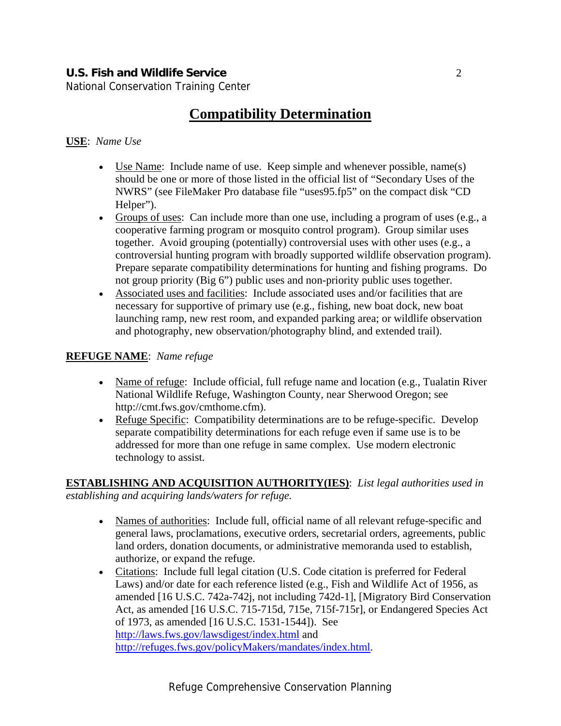National Conservation Training Center

## **Compatibility Determination**

#### **USE**: *Name Use*

- Use Name: Include name of use. Keep simple and whenever possible, name(s) should be one or more of those listed in the official list of "Secondary Uses of the NWRS" (see FileMaker Pro database file "uses95.fp5" on the compact disk "CD Helper").
- Groups of uses: Can include more than one use, including a program of uses (e.g., a cooperative farming program or mosquito control program). Group similar uses together. Avoid grouping (potentially) controversial uses with other uses (e.g., a controversial hunting program with broadly supported wildlife observation program). Prepare separate compatibility determinations for hunting and fishing programs. Do not group priority (Big 6") public uses and non-priority public uses together.
- Associated uses and facilities: Include associated uses and/or facilities that are necessary for supportive of primary use (e.g., fishing, new boat dock, new boat launching ramp, new rest room, and expanded parking area; or wildlife observation and photography, new observation/photography blind, and extended trail).

#### **REFUGE NAME**: *Name refuge*

- Name of refuge: Include official, full refuge name and location (e.g., Tualatin River National Wildlife Refuge, Washington County, near Sherwood Oregon; see http://cmt.fws.gov/cmthome.cfm).
- Refuge Specific: Compatibility determinations are to be refuge-specific. Develop separate compatibility determinations for each refuge even if same use is to be addressed for more than one refuge in same complex. Use modern electronic technology to assist.

**ESTABLISHING AND ACQUISITION AUTHORITY(IES)**: *List legal authorities used in establishing and acquiring lands/waters for refuge.* 

- Names of authorities: Include full, official name of all relevant refuge-specific and general laws, proclamations, executive orders, secretarial orders, agreements, public land orders, donation documents, or administrative memoranda used to establish, authorize, or expand the refuge.
- Citations: Include full legal citation (U.S. Code citation is preferred for Federal Laws) and/or date for each reference listed (e.g., Fish and Wildlife Act of 1956, as amended [16 U.S.C. 742a-742j, not including 742d-1], [Migratory Bird Conservation Act, as amended [16 U.S.C. 715-715d, 715e, 715f-715r], or Endangered Species Act of 1973, as amended [16 U.S.C. 1531-1544]). See http://laws.fws.gov/lawsdigest/index.html and http://refuges.fws.gov/policyMakers/mandates/index.html.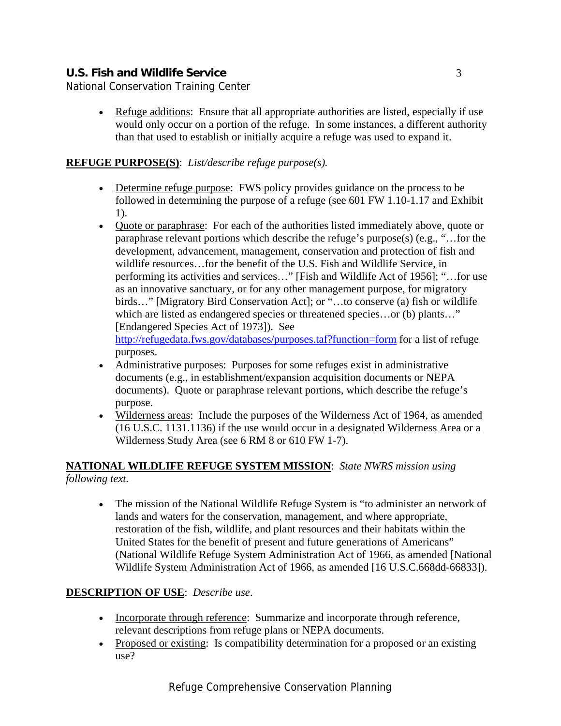National Conservation Training Center

• Refuge additions: Ensure that all appropriate authorities are listed, especially if use would only occur on a portion of the refuge. In some instances, a different authority than that used to establish or initially acquire a refuge was used to expand it.

#### **REFUGE PURPOSE(S)**: *List/describe refuge purpose(s).*

- Determine refuge purpose: FWS policy provides guidance on the process to be followed in determining the purpose of a refuge (see 601 FW 1.10-1.17 and Exhibit 1).
- Quote or paraphrase: For each of the authorities listed immediately above, quote or paraphrase relevant portions which describe the refuge's purpose(s) (e.g., "…for the development, advancement, management, conservation and protection of fish and wildlife resources…for the benefit of the U.S. Fish and Wildlife Service, in performing its activities and services…" [Fish and Wildlife Act of 1956]; "…for use as an innovative sanctuary, or for any other management purpose, for migratory birds…" [Migratory Bird Conservation Act]; or "…to conserve (a) fish or wildlife which are listed as endangered species or threatened species...or (b) plants..." [Endangered Species Act of 1973]). See http://refugedata.fws.gov/databases/purposes.taf?function=form for a list of refuge purposes.
- Administrative purposes: Purposes for some refuges exist in administrative documents (e.g., in establishment/expansion acquisition documents or NEPA documents). Quote or paraphrase relevant portions, which describe the refuge's purpose.
- Wilderness areas: Include the purposes of the Wilderness Act of 1964, as amended (16 U.S.C. 1131.1136) if the use would occur in a designated Wilderness Area or a Wilderness Study Area (see 6 RM 8 or 610 FW 1-7).

### **NATIONAL WILDLIFE REFUGE SYSTEM MISSION**: *State NWRS mission using following text.*

• The mission of the National Wildlife Refuge System is "to administer an network of lands and waters for the conservation, management, and where appropriate, restoration of the fish, wildlife, and plant resources and their habitats within the United States for the benefit of present and future generations of Americans" (National Wildlife Refuge System Administration Act of 1966, as amended [National Wildlife System Administration Act of 1966, as amended [16 U.S.C.668dd-66833]).

#### **DESCRIPTION OF USE**: *Describe use*.

- Incorporate through reference: Summarize and incorporate through reference, relevant descriptions from refuge plans or NEPA documents.
- Proposed or existing: Is compatibility determination for a proposed or an existing use?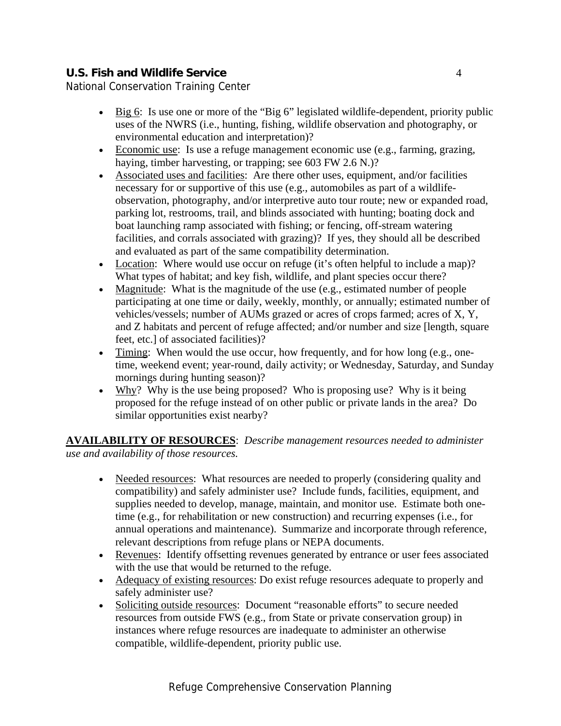National Conservation Training Center

- Big 6: Is use one or more of the "Big 6" legislated wildlife-dependent, priority public uses of the NWRS (i.e., hunting, fishing, wildlife observation and photography, or environmental education and interpretation)?
- Economic use: Is use a refuge management economic use (e.g., farming, grazing, haying, timber harvesting, or trapping; see 603 FW 2.6 N.)?
- Associated uses and facilities: Are there other uses, equipment, and/or facilities necessary for or supportive of this use (e.g., automobiles as part of a wildlifeobservation, photography, and/or interpretive auto tour route; new or expanded road, parking lot, restrooms, trail, and blinds associated with hunting; boating dock and boat launching ramp associated with fishing; or fencing, off-stream watering facilities, and corrals associated with grazing)? If yes, they should all be described and evaluated as part of the same compatibility determination.
- Location: Where would use occur on refuge (it's often helpful to include a map)? What types of habitat; and key fish, wildlife, and plant species occur there?
- Magnitude: What is the magnitude of the use (e.g., estimated number of people participating at one time or daily, weekly, monthly, or annually; estimated number of vehicles/vessels; number of AUMs grazed or acres of crops farmed; acres of X, Y, and Z habitats and percent of refuge affected; and/or number and size [length, square feet, etc.] of associated facilities)?
- Timing: When would the use occur, how frequently, and for how long (e.g., onetime, weekend event; year-round, daily activity; or Wednesday, Saturday, and Sunday mornings during hunting season)?
- Why? Why is the use being proposed? Who is proposing use? Why is it being proposed for the refuge instead of on other public or private lands in the area? Do similar opportunities exist nearby?

**AVAILABILITY OF RESOURCES**: *Describe management resources needed to administer use and availability of those resources.* 

- Needed resources: What resources are needed to properly (considering quality and compatibility) and safely administer use? Include funds, facilities, equipment, and supplies needed to develop, manage, maintain, and monitor use. Estimate both onetime (e.g., for rehabilitation or new construction) and recurring expenses (i.e., for annual operations and maintenance). Summarize and incorporate through reference, relevant descriptions from refuge plans or NEPA documents.
- Revenues: Identify offsetting revenues generated by entrance or user fees associated with the use that would be returned to the refuge.
- Adequacy of existing resources: Do exist refuge resources adequate to properly and safely administer use?
- Soliciting outside resources: Document "reasonable efforts" to secure needed resources from outside FWS (e.g., from State or private conservation group) in instances where refuge resources are inadequate to administer an otherwise compatible, wildlife-dependent, priority public use.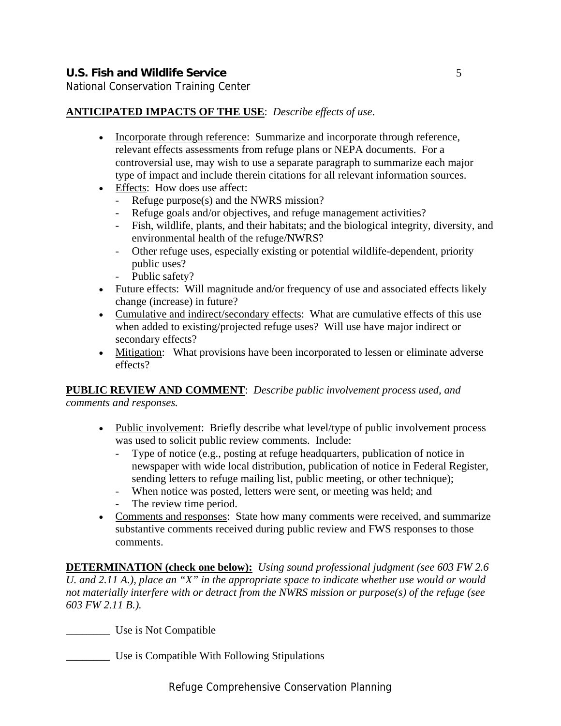National Conservation Training Center

#### **ANTICIPATED IMPACTS OF THE USE**: *Describe effects of use*.

- Incorporate through reference: Summarize and incorporate through reference, relevant effects assessments from refuge plans or NEPA documents. For a controversial use, may wish to use a separate paragraph to summarize each major type of impact and include therein citations for all relevant information sources.
- Effects: How does use affect:
	- Refuge purpose(s) and the NWRS mission?
	- Refuge goals and/or objectives, and refuge management activities?
	- Fish, wildlife, plants, and their habitats; and the biological integrity, diversity, and environmental health of the refuge/NWRS?
	- Other refuge uses, especially existing or potential wildlife-dependent, priority public uses?
	- Public safety?
- Future effects: Will magnitude and/or frequency of use and associated effects likely change (increase) in future?
- Cumulative and indirect/secondary effects: What are cumulative effects of this use when added to existing/projected refuge uses? Will use have major indirect or secondary effects?
- Mitigation: What provisions have been incorporated to lessen or eliminate adverse effects?

## **PUBLIC REVIEW AND COMMENT**: *Describe public involvement process used, and*

*comments and responses.* 

- Public involvement: Briefly describe what level/type of public involvement process was used to solicit public review comments. Include:
	- Type of notice (e.g., posting at refuge headquarters, publication of notice in newspaper with wide local distribution, publication of notice in Federal Register, sending letters to refuge mailing list, public meeting, or other technique);
	- When notice was posted, letters were sent, or meeting was held; and
	- The review time period.
- Comments and responses: State how many comments were received, and summarize substantive comments received during public review and FWS responses to those comments.

**DETERMINATION (check one below):** *Using sound professional judgment (see 603 FW 2.6 U. and 2.11 A.), place an "X" in the appropriate space to indicate whether use would or would not materially interfere with or detract from the NWRS mission or purpose(s) of the refuge (see 603 FW 2.11 B.).* 

\_\_\_\_\_\_\_\_ Use is Not Compatible

\_\_\_\_\_\_\_\_ Use is Compatible With Following Stipulations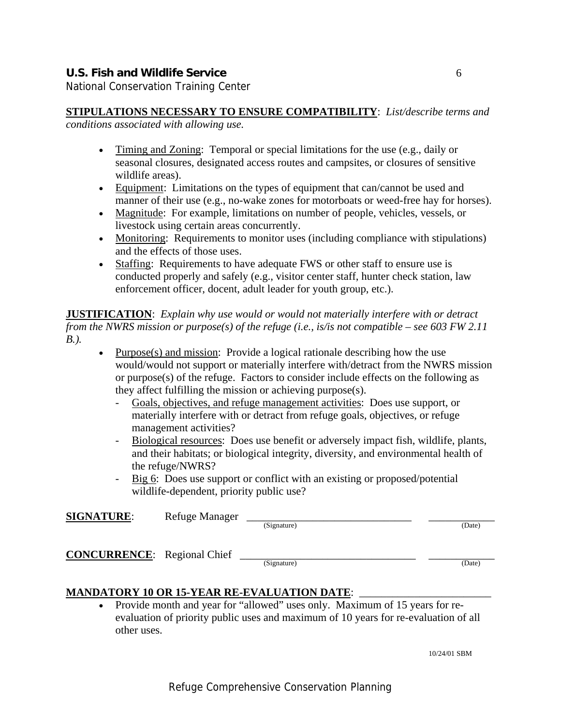National Conservation Training Center

- Timing and Zoning: Temporal or special limitations for the use (e.g., daily or seasonal closures, designated access routes and campsites, or closures of sensitive wildlife areas).
- Equipment: Limitations on the types of equipment that can/cannot be used and manner of their use (e.g., no-wake zones for motorboats or weed-free hay for horses).
- Magnitude: For example, limitations on number of people, vehicles, vessels, or livestock using certain areas concurrently.
- Monitoring: Requirements to monitor uses (including compliance with stipulations) and the effects of those uses.
- Staffing: Requirements to have adequate FWS or other staff to ensure use is conducted properly and safely (e.g., visitor center staff, hunter check station, law enforcement officer, docent, adult leader for youth group, etc.).

**JUSTIFICATION**: *Explain why use would or would not materially interfere with or detract from the NWRS mission or purpose(s) of the refuge (i.e., is/is not compatible – see 603 FW 2.11 B.).* 

- Purpose(s) and mission: Provide a logical rationale describing how the use would/would not support or materially interfere with/detract from the NWRS mission or purpose(s) of the refuge. Factors to consider include effects on the following as they affect fulfilling the mission or achieving purpose(s).
	- Goals, objectives, and refuge management activities: Does use support, or materially interfere with or detract from refuge goals, objectives, or refuge management activities?
	- Biological resources: Does use benefit or adversely impact fish, wildlife, plants, and their habitats; or biological integrity, diversity, and environmental health of the refuge/NWRS?
	- Big 6: Does use support or conflict with an existing or proposed/potential wildlife-dependent, priority public use?

| <b>SIGNATURE:</b>                  | Refuge Manager | (Signature) | (Date) |
|------------------------------------|----------------|-------------|--------|
| <b>CONCURRENCE:</b> Regional Chief |                | (Signature) | (Date) |

#### **MANDATORY 10 OR 15-YEAR RE-EVALUATION DATE:**

• Provide month and year for "allowed" uses only. Maximum of 15 years for reevaluation of priority public uses and maximum of 10 years for re-evaluation of all other uses.

10/24/01 SBM